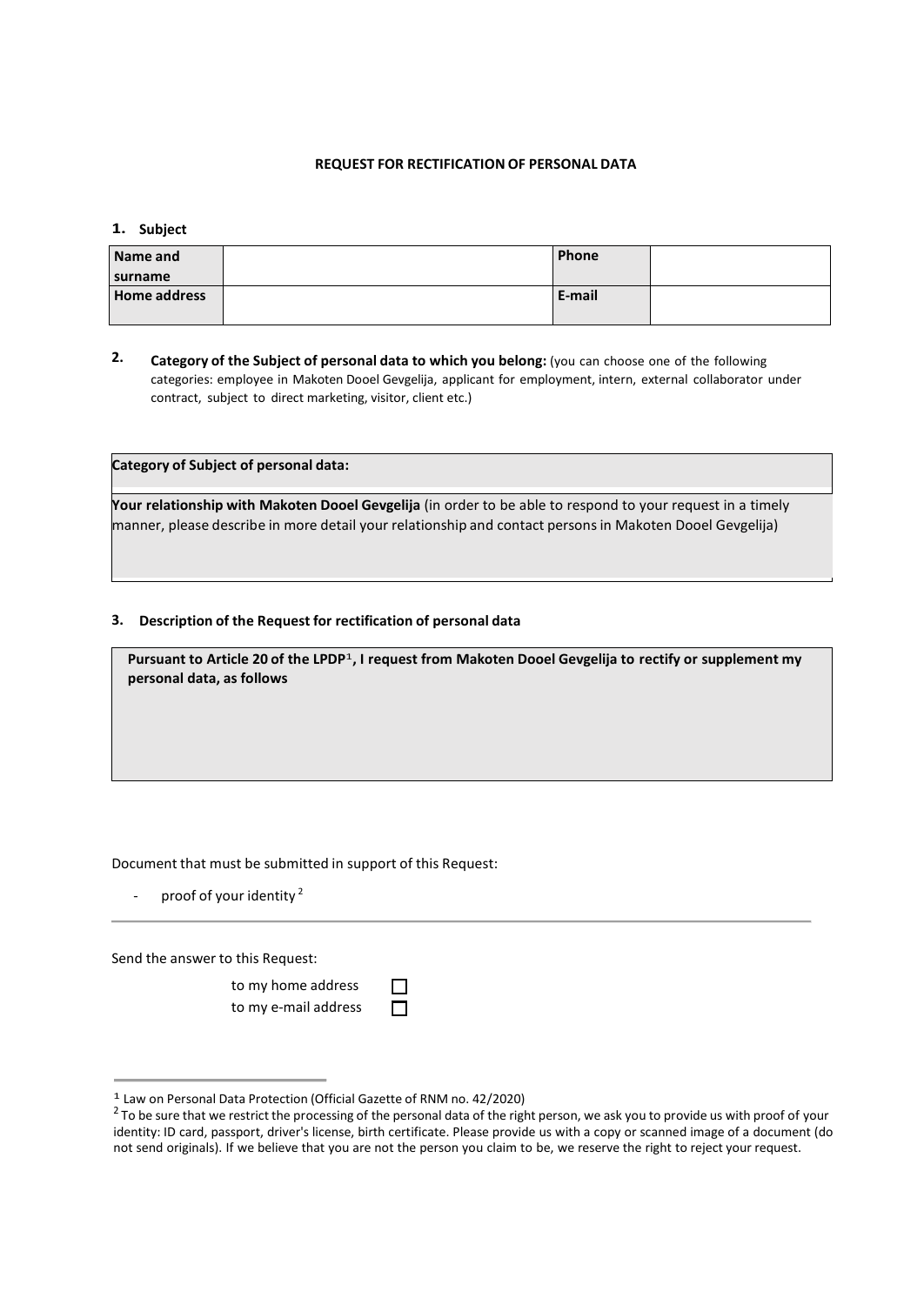## **REQUEST FOR RECTIFICATION OF PERSONAL DATA**

## **1. Subject**

| Phone  | Name and            |
|--------|---------------------|
|        | surname             |
| E-mail | <b>Home address</b> |
|        |                     |

**2. Category of the Subject of personal data to which you belong:** (you can choose one of the following categories: employee in Makoten Dooel Gevgelija, applicant for employment, intern, external collaborator under contract, subject to direct marketing, visitor, client etc.)

**Category of Subject of personal data:**

**Your relationship with Makoten Dooel Gevgelija** (in order to be able to respond to your request in a timely manner, please describe in more detail your relationship and contact personsin Makoten Dooel Gevgelija)

## **3. Description of the Request for rectification of personal data**

**Pursuant to Article 20 of the LPDP** 1 **, I request from Makoten Dooel Gevgelija to rectify or supplement my personal data, as follows**

Document that must be submitted in support of this Request:

- proof of your identity <sup>2</sup>

Send the answer to this Request:

to my home address to my e-mail address

п

| <sup>1</sup> Law on Personal Data Protection (Official Gazette of RNM no. 42/2020) |  |  |
|------------------------------------------------------------------------------------|--|--|
|------------------------------------------------------------------------------------|--|--|

 $^2$  To be sure that we restrict the processing of the personal data of the right person, we ask you to provide us with proof of your identity: ID card, passport, driver's license, birth certificate. Please provide us with a copy or scanned image of a document (do not send originals). If we believe that you are not the person you claim to be, we reserve the right to reject your request.